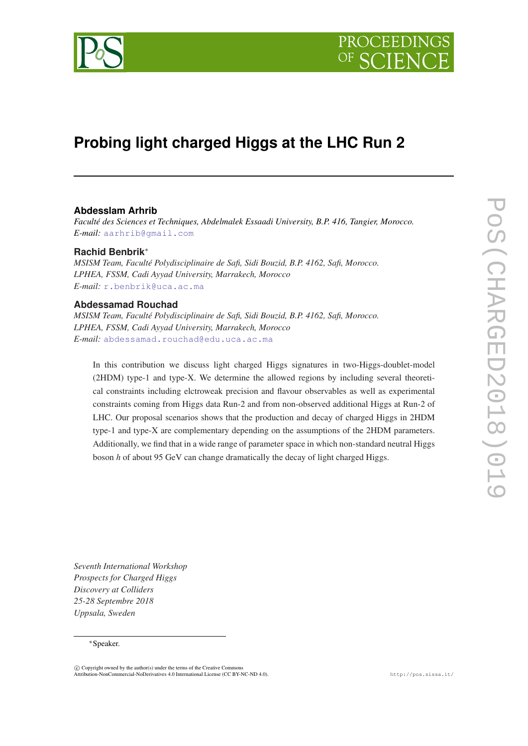

# **Probing light charged Higgs at the LHC Run 2**

# **Abdesslam Arhrib**

*Faculté des Sciences et Techniques, Abdelmalek Essaadi University, B.P. 416, Tangier, Morocco. E-mail:* [aarhrib@gmail.com](mailto:aarhrib@gmail.com)

# **Rachid Benbrik**<sup>∗</sup>

*MSISM Team, Faculté Polydisciplinaire de Safi, Sidi Bouzid, B.P. 4162, Safi, Morocco. LPHEA, FSSM, Cadi Ayyad University, Marrakech, Morocco E-mail:* [r.benbrik@uca.ac.ma](mailto:r.benbrik@uca.ac.ma)

# **Abdessamad Rouchad**

*MSISM Team, Faculté Polydisciplinaire de Safi, Sidi Bouzid, B.P. 4162, Safi, Morocco. LPHEA, FSSM, Cadi Ayyad University, Marrakech, Morocco E-mail:* [abdessamad.rouchad@edu.uca.ac.ma](mailto:abdessamad.rouchad@edu.uca.ac.ma)

In this contribution we discuss light charged Higgs signatures in two-Higgs-doublet-model (2HDM) type-1 and type-X. We determine the allowed regions by including several theoretical constraints including elctroweak precision and flavour observables as well as experimental constraints coming from Higgs data Run-2 and from non-observed additional Higgs at Run-2 of LHC. Our proposal scenarios shows that the production and decay of charged Higgs in 2HDM type-1 and type-X are complementary depending on the assumptions of the 2HDM parameters. Additionally, we find that in a wide range of parameter space in which non-standard neutral Higgs boson *h* of about 95 GeV can change dramatically the decay of light charged Higgs.

*Seventh International Workshop Prospects for Charged Higgs Discovery at Colliders 25-28 Septembre 2018 Uppsala, Sweden*

#### <sup>∗</sup>Speaker.

 $\overline{c}$  Copyright owned by the author(s) under the terms of the Creative Commons Attribution-NonCommercial-NoDerivatives 4.0 International License (CC BY-NC-ND 4.0). http://pos.sissa.it/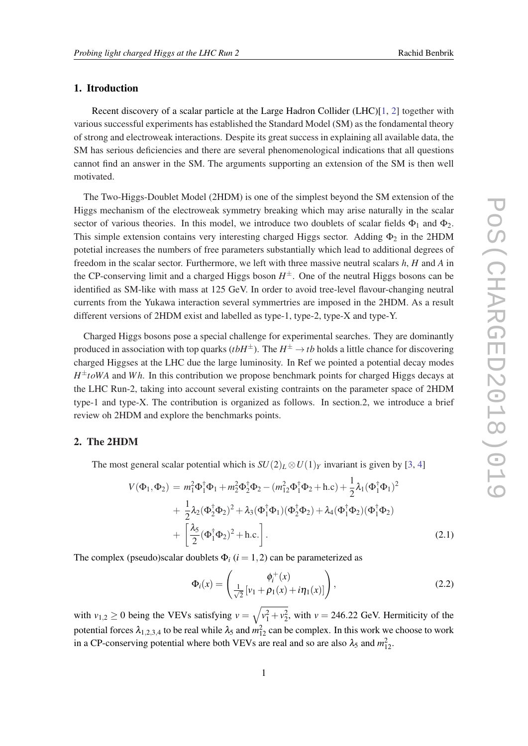# 1. Itroduction

Recent discovery of a scalar particle at the Large Hadron Collider (LHC)[\[1,](#page-6-0) [2\]](#page-6-0) together with various successful experiments has established the Standard Model (SM) as the fondamental theory of strong and electroweak interactions. Despite its great success in explaining all available data, the SM has serious deficiencies and there are several phenomenological indications that all questions cannot find an answer in the SM. The arguments supporting an extension of the SM is then well motivated.

The Two-Higgs-Doublet Model (2HDM) is one of the simplest beyond the SM extension of the Higgs mechanism of the electroweak symmetry breaking which may arise naturally in the scalar sector of various theories. In this model, we introduce two doublets of scalar fields  $\Phi_1$  and  $\Phi_2$ . This simple extension contains very interesting charged Higgs sector. Adding  $\Phi_2$  in the 2HDM potetial increases the numbers of free parameters substantially which lead to additional degrees of freedom in the scalar sector. Furthermore, we left with three massive neutral scalars *h*, *H* and *A* in the CP-conserving limit and a charged Higgs boson  $H^{\pm}$ . One of the neutral Higgs bosons can be identified as SM-like with mass at 125 GeV. In order to avoid tree-level flavour-changing neutral currents from the Yukawa interaction several symmertries are imposed in the 2HDM. As a result different versions of 2HDM exist and labelled as type-1, type-2, type-X and type-Y.

Charged Higgs bosons pose a special challenge for experimental searches. They are dominantly produced in association with top quarks ( $tbH^{\pm}$ ). The  $H^{\pm} \rightarrow tb$  holds a little chance for discovering charged Higgses at the LHC due the large luminosity. In Ref we pointed a potential decay modes *H* <sup>±</sup>*toWA* and *W h*. In this contribution we propose benchmark points for charged Higgs decays at the LHC Run-2, taking into account several existing contraints on the parameter space of 2HDM type-1 and type-X. The contribution is organized as follows. In section.2, we introduce a brief review oh 2HDM and explore the benchmarks points.

# 2. The 2HDM

The most general scalar potential which is  $SU(2)_L \otimes U(1)_Y$  invariant is given by [\[3](#page-6-0), [4](#page-6-0)]

$$
V(\Phi_1, \Phi_2) = m_1^2 \Phi_1^{\dagger} \Phi_1 + m_2^2 \Phi_2^{\dagger} \Phi_2 - (m_{12}^2 \Phi_1^{\dagger} \Phi_2 + \text{h.c}) + \frac{1}{2} \lambda_1 (\Phi_1^{\dagger} \Phi_1)^2 + \frac{1}{2} \lambda_2 (\Phi_2^{\dagger} \Phi_2)^2 + \lambda_3 (\Phi_1^{\dagger} \Phi_1) (\Phi_2^{\dagger} \Phi_2) + \lambda_4 (\Phi_1^{\dagger} \Phi_2) (\Phi_1^{\dagger} \Phi_2) + \left[ \frac{\lambda_5}{2} (\Phi_1^{\dagger} \Phi_2)^2 + \text{h.c.} \right].
$$
\n(2.1)

The complex (pseudo)scalar doublets  $\Phi_i$  ( $i = 1, 2$ ) can be parameterized as

$$
\Phi_i(x) = \begin{pmatrix} \phi_i^+(x) \\ \frac{1}{\sqrt{2}} \left[ v_1 + \rho_1(x) + i \eta_1(x) \right] \end{pmatrix},
$$
\n(2.2)

with  $v_{1,2} \ge 0$  being the VEVs satisfying  $v = \sqrt{v_1^2 + v_2^2}$ , with  $v = 246.22$  GeV. Hermiticity of the potential forces  $\lambda_{1,2,3,4}$  to be real while  $\lambda_5$  and  $m_{12}^2$  can be complex. In this work we choose to work in a CP-conserving potential where both VEVs are real and so are also  $\lambda_5$  and  $m_{12}^2$ .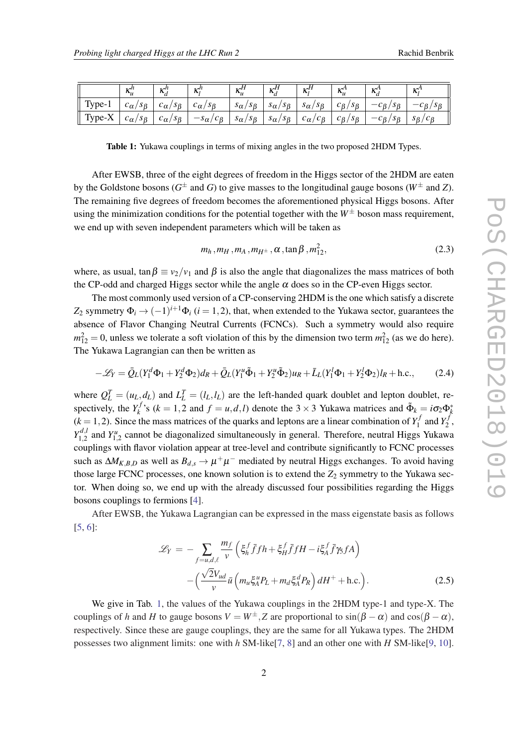|          | أأمرد<br>$\mathbf{v}_u$              | بالمرد<br>Δ.                                           | $\mathcal{L}^h$<br>л.                                  | $H_{\nu}$<br>$\mathbf{u}_u$              | $H_{\bullet}$<br>Δ.                      | $H_{\rm tr}$<br>$\mathbf{v}$                  | 1/t<br>$\mathbf{v}_u$                   | 1 <sup>A</sup><br>17           | 1/2<br>$\mathbf{v}$               |
|----------|--------------------------------------|--------------------------------------------------------|--------------------------------------------------------|------------------------------------------|------------------------------------------|-----------------------------------------------|-----------------------------------------|--------------------------------|-----------------------------------|
| Type-    | $s_{\beta}$<br>n.<br>$c_{\alpha}$    | $^{\prime}$ S $_{\beta}$<br>$\sqrt{2}$<br>$c_{\alpha}$ | $^{\prime}$ S $_{\beta}$<br>$\sqrt{2}$<br>$c_{\alpha}$ | $s_{\alpha}$<br>$s_{\beta}$              | $\sim$<br>$s_{\beta}$<br>$S_{\alpha}$    | $s_{\alpha}$<br>$^{\prime}$ S $_{\beta}$      | $c_{\beta}$<br>$^{\circ}$ S $_{\beta}$  | $S_{\beta}$<br>$-\mathsf{p}$ , | $^{\prime}$ S $_{\beta}$<br>$c_B$ |
| $Type-X$ | $s_{\beta}$<br>Â<br>$\iota_{\alpha}$ | $^{\prime}$ S $_{\beta}$<br>$\epsilon_{\alpha}$        | $c_{\beta}$<br>$\mathbf{C}$<br>$-s_{\alpha}$           | $s_{\alpha}$<br>$^{\prime}$ S $_{\beta}$ | $\sim$<br>$s_{\beta}$<br>$\delta \alpha$ | $\sqrt{2}$<br>$c_{\beta}$<br>$\iota_{\alpha}$ | $c_{\beta}$<br>$^{\prime}$ S $_{\beta}$ | $s_{\beta}$<br>$-\mathsf{p}$ , | $S_{\beta}$                       |

Table 1: Yukawa couplings in terms of mixing angles in the two proposed 2HDM Types.

After EWSB, three of the eight degrees of freedom in the Higgs sector of the 2HDM are eaten by the Goldstone bosons ( $G^{\pm}$  and *G*) to give masses to the longitudinal gauge bosons ( $W^{\pm}$  and *Z*). The remaining five degrees of freedom becomes the aforementioned physical Higgs bosons. After using the minimization conditions for the potential together with the  $W^{\pm}$  boson mass requirement, we end up with seven independent parameters which will be taken as

$$
m_h, m_H, m_A, m_{H^{\pm}}, \alpha, \tan \beta, m_{12}^2,
$$
\n(2.3)

where, as usual, tan  $\beta \equiv v_2/v_1$  and  $\beta$  is also the angle that diagonalizes the mass matrices of both the CP-odd and charged Higgs sector while the angle  $\alpha$  does so in the CP-even Higgs sector.

The most commonly used version of a CP-conserving 2HDM is the one which satisfy a discrete  $Z_2$  symmetry  $\Phi_i \to (-1)^{i+1} \Phi_i$  (*i* = 1,2), that, when extended to the Yukawa sector, guarantees the absence of Flavor Changing Neutral Currents (FCNCs). Such a symmetry would also require  $m_{12}^2 = 0$ , unless we tolerate a soft violation of this by the dimension two term  $m_{12}^2$  (as we do here). The Yukawa Lagrangian can then be written as

$$
-\mathcal{L}_Y = \bar{Q}_L (Y_1^d \Phi_1 + Y_2^d \Phi_2) d_R + \bar{Q}_L (Y_1^u \tilde{\Phi}_1 + Y_2^u \tilde{\Phi}_2) u_R + \bar{L}_L (Y_1^l \Phi_1 + Y_2^l \Phi_2) l_R + \text{h.c.},\tag{2.4}
$$

where  $Q_L^T = (u_L, d_L)$  and  $L_L^T = (l_L, l_L)$  are the left-handed quark doublet and lepton doublet, respectively, the  $Y_k^f$  $h_k^{f,s}$  (*k* = 1,2 and  $f = u, d, l$ ) denote the 3 × 3 Yukawa matrices and  $\tilde{\Phi}_k = i\sigma_2 \Phi_k^*$  $(k = 1, 2)$ . Since the mass matrices of the quarks and leptons are a linear combination of  $Y_1^f$  $Y_1^f$  and  $Y_2^f$  $\frac{7}{2}$ ,  $Y_1^{d, l}$  $Y_{1,2}^{d,l}$  and  $Y_{1,2}^u$  cannot be diagonalized simultaneously in general. Therefore, neutral Higgs Yukawa couplings with flavor violation appear at tree-level and contribute significantly to FCNC processes such as  $\Delta M_{K,B,D}$  as well as  $B_{d,s} \to \mu^+\mu^-$  mediated by neutral Higgs exchanges. To avoid having those large FCNC processes, one known solution is to extend the  $Z_2$  symmetry to the Yukawa sector. When doing so, we end up with the already discussed four possibilities regarding the Higgs bosons couplings to fermions [[4](#page-6-0)].

After EWSB, the Yukawa Lagrangian can be expressed in the mass eigenstate basis as follows [[5](#page-6-0), [6](#page-6-0)]:

$$
\mathcal{L}_Y = -\sum_{f=u,d,\ell} \frac{m_f}{v} \left( \xi_h^f \bar{f} f h + \xi_H^f \bar{f} f H - i \xi_A^f \bar{f} \gamma_5 f A \right) - \left( \frac{\sqrt{2} V_{ud}}{v} \bar{u} \left( m_u \xi_A^u P_L + m_d \xi_A^d P_R \right) dH^+ + \text{h.c.} \right). \tag{2.5}
$$

We give in Tab. 1, the values of the Yukawa couplings in the 2HDM type-1 and type-X. The couplings of *h* and *H* to gauge bosons  $V = W^{\pm}$ , *Z* are proportional to  $\sin(\beta - \alpha)$  and  $\cos(\beta - \alpha)$ , respectively. Since these are gauge couplings, they are the same for all Yukawa types. The 2HDM possesses two alignment limits: one with *h* SM-like[[7](#page-6-0), [8](#page-6-0)] and an other one with *H* SM-like[[9](#page-6-0), [10\]](#page-6-0).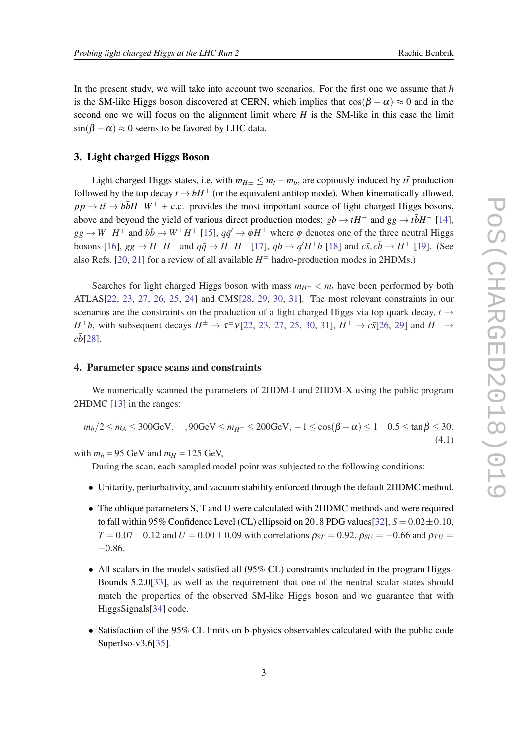In the present study, we will take into account two scenarios. For the first one we assume that *h* is the SM-like Higgs boson discovered at CERN, which implies that  $\cos(\beta - \alpha) \approx 0$  and in the second one we will focus on the alignment limit where *H* is the SM-like in this case the limit  $\sin(\beta - \alpha) \approx 0$  seems to be favored by LHC data.

#### 3. Light charged Higgs Boson

Light charged Higgs states, i.e, with  $m_{H<sub>+</sub>} < m_{t} - m_{b}$ , are copiously induced by  $t\bar{t}$  production followed by the top decay  $t \to bH^+$  (or the equivalent antitop mode). When kinematically allowed,  $pp \rightarrow t\bar{t} \rightarrow b\bar{b}H^-W^+ + c.c.$  provides the most important source of light charged Higgs bosons, above and beyond the yield of various direct production modes:  $gb \rightarrow tH^-$  and  $gg \rightarrow t\bar{b}H^-$  [[14\]](#page-6-0),  $gg \to W^{\pm}H^{\mp}$  and  $b\bar{b} \to W^{\pm}H^{\mp}$  [\[15](#page-6-0)],  $q\bar{q}' \to \phi H^{\pm}$  where  $\phi$  denotes one of the three neutral Higgs bosons [[16\]](#page-6-0),  $gg \to H^+H^-$  and  $q\bar{q} \to H^+H^-$  [[17\]](#page-6-0),  $qb \to q'H^+b$  [[18\]](#page-6-0) and  $c\bar{s}, c\bar{b} \to H^+$  [\[19\]](#page-6-0). (See also Refs. [[20,](#page-6-0) [21\]](#page-6-0) for a review of all available  $H^{\pm}$  hadro-production modes in 2HDMs.)

Searches for light charged Higgs boson with mass  $m_{H^{\pm}} < m_t$  have been performed by both ATLAS[[22,](#page-7-0) [23](#page-7-0), [27,](#page-7-0) [26](#page-7-0), [25,](#page-7-0) [24](#page-7-0)] and CMS[\[28,](#page-7-0) [29](#page-7-0), [30,](#page-7-0) [31](#page-7-0)]. The most relevant constraints in our scenarios are the constraints on the production of a light charged Higgs via top quark decay,  $t \rightarrow$ *H*<sup>+</sup>*b*, with subsequent decays  $H^{\pm} \to \tau^{\pm} \nu$  [\[22](#page-7-0), [23,](#page-7-0) [27](#page-7-0), [25,](#page-7-0) [30,](#page-7-0) [31](#page-7-0)],  $H^+ \to c\bar{s}$  [[26](#page-7-0), [29\]](#page-7-0) and  $H^+ \to$  $c\bar{b}$ [\[28](#page-7-0)].

#### 4. Parameter space scans and constraints

We numerically scanned the parameters of 2HDM-I and 2HDM-X using the public program 2HDMC [[13\]](#page-6-0) in the ranges:

$$
m_h/2 \le m_A \le 300
$$
GeV,  $,90$ GeV  $\le m_{H^{\pm}} \le 200$ GeV,  $-1 \le \cos(\beta - \alpha) \le 1$  0.5  $\le \tan \beta \le 30$ . (4.1)

with  $m_h$  = 95 GeV and  $m_H$  = 125 GeV,

During the scan, each sampled model point was subjected to the following conditions:

- Unitarity, perturbativity, and vacuum stability enforced through the default 2HDMC method.
- The oblique parameters S, T and U were calculated with 2HDMC methods and were required to fall within 95% Confidence Level (CL) ellipsoid on 2018 PDG values  $[32]$  $[32]$ ,  $S = 0.02 \pm 0.10$ ,  $T = 0.07 \pm 0.12$  and  $U = 0.00 \pm 0.09$  with correlations  $\rho_{ST} = 0.92$ ,  $\rho_{SU} = -0.66$  and  $\rho_{TU} =$ −0.86.
- All scalars in the models satisfied all (95% CL) constraints included in the program Higgs-Bounds 5.2.0[\[33](#page-7-0)], as well as the requirement that one of the neutral scalar states should match the properties of the observed SM-like Higgs boson and we guarantee that with HiggsSignals[\[34](#page-7-0)] code.
- Satisfaction of the 95% CL limits on b-physics observables calculated with the public code SuperIso-v3.6[[35\]](#page-7-0).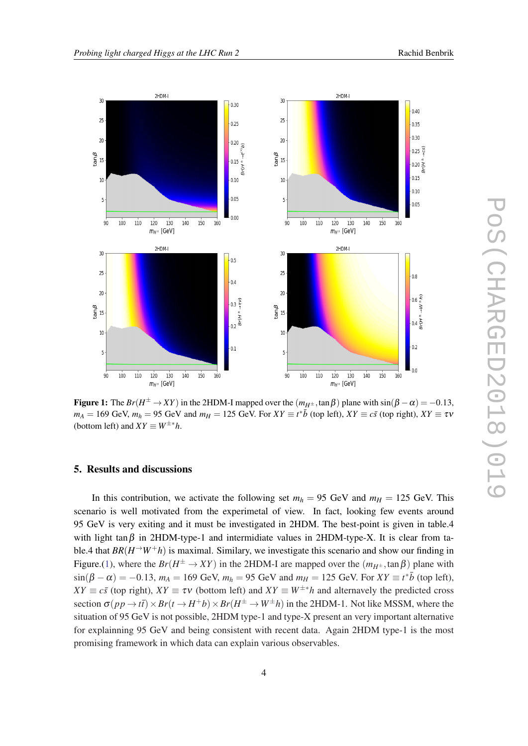

Figure 1: The  $Br(H^{\pm} \to XY)$  in the 2HDM-I mapped over the  $(m_{H^{\pm}} , \tan \beta)$  plane with  $\sin(\beta - \alpha) = -0.13$ ,  $m_A = 169 \text{ GeV}, m_h = 95 \text{ GeV}$  and  $m_H = 125 \text{ GeV}$ . For  $XY \equiv t^* \bar{b}$  (top left),  $XY \equiv c\bar{s}$  (top right),  $XY \equiv \tau v$ (bottom left) and  $XY \equiv W^{\pm *}h$ .

#### 5. Results and discussions

In this contribution, we activate the following set  $m_h = 95$  GeV and  $m_H = 125$  GeV. This scenario is well motivated from the experimetal of view. In fact, looking few events around 95 GeV is very exiting and it must be investigated in 2HDM. The best-point is given in table.4 with light tan $\beta$  in 2HDM-type-1 and intermidiate values in 2HDM-type-X. It is clear from table.4 that  $BR(H\rightarrow W+h)$  is maximal. Similary, we investigate this scenario and show our finding in Figure.(1), where the  $Br(H^{\pm} \to XY)$  in the 2HDM-I are mapped over the  $(m_{H^{\pm}} , \tan \beta)$  plane with  $\sin(\beta - \alpha) = -0.13$ ,  $m_A = 169$  GeV,  $m_h = 95$  GeV and  $m_H = 125$  GeV. For  $XY \equiv t^* \bar{b}$  (top left),  $XY \equiv c\bar{s}$  (top right),  $XY \equiv \tau v$  (bottom left) and  $XY \equiv W^{\pm *}h$  and alternavely the predicted cross section  $\sigma(p \, p \to t\bar{t}) \times Br(t \to H^+ b) \times Br(H^{\pm} \to W^{\pm} h)$  in the 2HDM-1. Not like MSSM, where the situation of 95 GeV is not possible, 2HDM type-1 and type-X present an very important alternative for explainning 95 GeV and being consistent with recent data. Again 2HDM type-1 is the most promising framework in which data can explain various observables.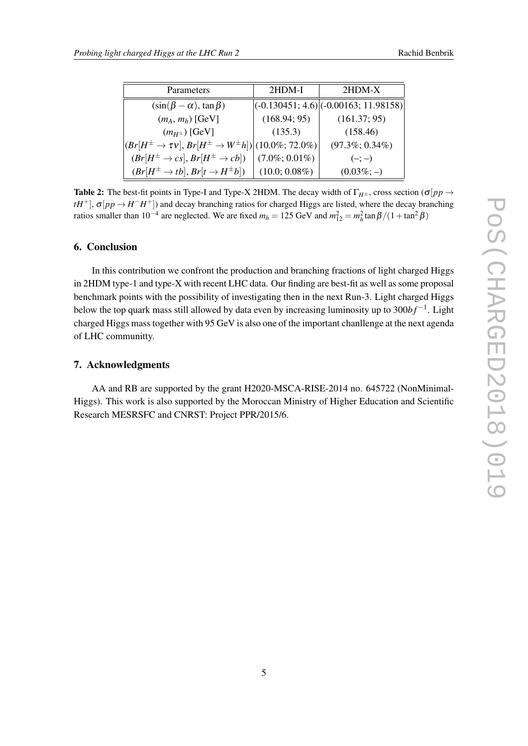| Parameters                                                                  | 2HDM-I            | $2HDM-X$                                  |
|-----------------------------------------------------------------------------|-------------------|-------------------------------------------|
| $(\sin(\beta - \alpha), \tan \beta)$                                        |                   | $ (-0.130451; 4.6) (-0.00163; 11.98158) $ |
| $(m_A, m_h)$ [GeV]                                                          | (168.94; 95)      | (161.37; 95)                              |
| $(m_{H^{\pm}})$ [GeV]                                                       | (135.3)           | (158.46)                                  |
| $\big (Br[H^\pm\to \tau v], Br[H^\pm\to W^\pm h])\big (10.0\%;72.0\%)\big $ |                   | $(97.3\%; 0.34\%)$                        |
| $(Br[H^{\pm}\to cs], Br[H^{\pm}\to cb])$                                    | $(7.0\%; 0.01\%)$ | $(-; -)$                                  |
| $(Br[H^{\pm}\to tb], Br[t \to H^{\pm}b])$                                   | $(10.0; 0.08\%)$  | $(0.03\%; -)$                             |

Table 2: The best-fit points in Type-I and Type-X 2HDM. The decay width of  $\Gamma_{H^{\pm}}$ , cross section ( $\sigma$ [ $pp \rightarrow$  $tH^+$ ],  $\sigma(pp \to H^-H^+$ ]) and decay branching ratios for charged Higgs are listed, where the decay branching ratios smaller than  $10^{-4}$  are neglected. We are fixed  $m_h = 125$  GeV and  $m_{12}^2 = m_h^2 \tan \beta / (1 + \tan^2 \beta)$ 

# 6. Conclusion

In this contribution we confront the production and branching fractions of light charged Higgs in 2HDM type-1 and type-X with recent LHC data. Our finding are best-fit as well as some proposal benchmark points with the possibility of investigating then in the next Run-3. Light charged Higgs below the top quark mass still allowed by data even by increasing luminosity up to 300*bf*<sup>-1</sup>. Light charged Higgs mass together with 95 GeV is also one of the important chanllenge at the next agenda of LHC communitty.

# 7. Acknowledgments

AA and RB are supported by the grant H2020-MSCA-RISE-2014 no. 645722 (NonMinimal-Higgs). This work is also supported by the Moroccan Ministry of Higher Education and Scientific Research MESRSFC and CNRST: Project PPR/2015/6.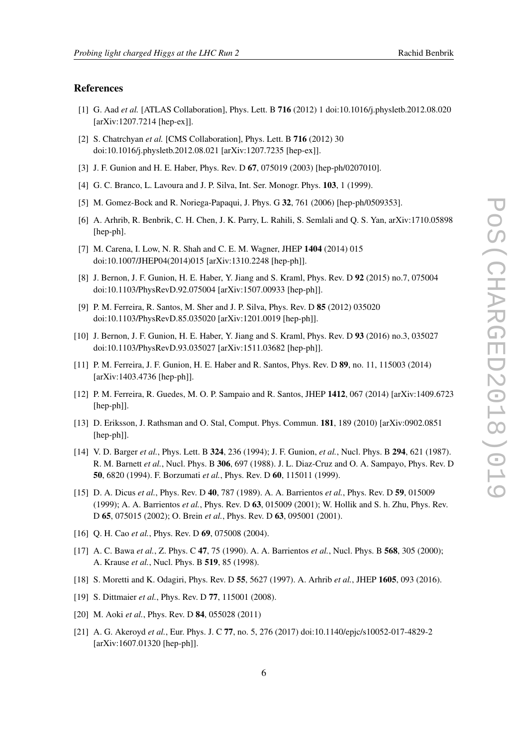#### <span id="page-6-0"></span>References

- [1] G. Aad *et al.* [ATLAS Collaboration], Phys. Lett. B 716 (2012) 1 doi:10.1016/j.physletb.2012.08.020 [arXiv:1207.7214 [hep-ex]].
- [2] S. Chatrchyan *et al.* [CMS Collaboration], Phys. Lett. B 716 (2012) 30 doi:10.1016/j.physletb.2012.08.021 [arXiv:1207.7235 [hep-ex]].
- [3] J. F. Gunion and H. E. Haber, Phys. Rev. D 67, 075019 (2003) [hep-ph/0207010].
- [4] G. C. Branco, L. Lavoura and J. P. Silva, Int. Ser. Monogr. Phys. 103, 1 (1999).
- [5] M. Gomez-Bock and R. Noriega-Papaqui, J. Phys. G 32, 761 (2006) [hep-ph/0509353].
- [6] A. Arhrib, R. Benbrik, C. H. Chen, J. K. Parry, L. Rahili, S. Semlali and Q. S. Yan, arXiv:1710.05898 [hep-ph].
- [7] M. Carena, I. Low, N. R. Shah and C. E. M. Wagner, JHEP 1404 (2014) 015 doi:10.1007/JHEP04(2014)015 [arXiv:1310.2248 [hep-ph]].
- [8] J. Bernon, J. F. Gunion, H. E. Haber, Y. Jiang and S. Kraml, Phys. Rev. D 92 (2015) no.7, 075004 doi:10.1103/PhysRevD.92.075004 [arXiv:1507.00933 [hep-ph]].
- [9] P. M. Ferreira, R. Santos, M. Sher and J. P. Silva, Phys. Rev. D 85 (2012) 035020 doi:10.1103/PhysRevD.85.035020 [arXiv:1201.0019 [hep-ph]].
- [10] J. Bernon, J. F. Gunion, H. E. Haber, Y. Jiang and S. Kraml, Phys. Rev. D 93 (2016) no.3, 035027 doi:10.1103/PhysRevD.93.035027 [arXiv:1511.03682 [hep-ph]].
- [11] P. M. Ferreira, J. F. Gunion, H. E. Haber and R. Santos, Phys. Rev. D 89, no. 11, 115003 (2014) [arXiv:1403.4736 [hep-ph]].
- [12] P. M. Ferreira, R. Guedes, M. O. P. Sampaio and R. Santos, JHEP 1412, 067 (2014) [arXiv:1409.6723 [hep-ph]].
- [13] D. Eriksson, J. Rathsman and O. Stal, Comput. Phys. Commun. 181, 189 (2010) [arXiv:0902.0851 [hep-ph]].
- [14] V. D. Barger *et al.*, Phys. Lett. B 324, 236 (1994); J. F. Gunion, *et al.*, Nucl. Phys. B 294, 621 (1987). R. M. Barnett *et al.*, Nucl. Phys. B 306, 697 (1988). J. L. Diaz-Cruz and O. A. Sampayo, Phys. Rev. D 50, 6820 (1994). F. Borzumati *et al.*, Phys. Rev. D 60, 115011 (1999).
- [15] D. A. Dicus *et al.*, Phys. Rev. D 40, 787 (1989). A. A. Barrientos *et al.*, Phys. Rev. D 59, 015009 (1999); A. A. Barrientos *et al.*, Phys. Rev. D 63, 015009 (2001); W. Hollik and S. h. Zhu, Phys. Rev. D 65, 075015 (2002); O. Brein *et al.*, Phys. Rev. D 63, 095001 (2001).
- [16] Q. H. Cao *et al.*, Phys. Rev. D **69**, 075008 (2004).
- [17] A. C. Bawa *et al.*, Z. Phys. C 47, 75 (1990). A. A. Barrientos *et al.*, Nucl. Phys. B 568, 305 (2000); A. Krause *et al.*, Nucl. Phys. B 519, 85 (1998).
- [18] S. Moretti and K. Odagiri, Phys. Rev. D 55, 5627 (1997). A. Arhrib *et al.*, JHEP 1605, 093 (2016).
- [19] S. Dittmaier *et al.*, Phys. Rev. D 77, 115001 (2008).
- [20] M. Aoki *et al.*, Phys. Rev. D **84**, 055028 (2011)
- [21] A. G. Akeroyd *et al.*, Eur. Phys. J. C 77, no. 5, 276 (2017) doi:10.1140/epjc/s10052-017-4829-2 [arXiv:1607.01320 [hep-ph]].